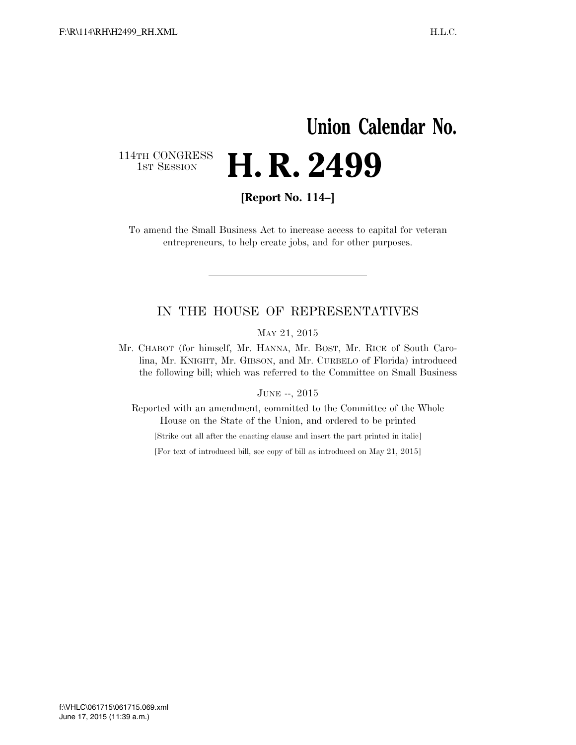## **Union Calendar No.**  114TH CONGRESS<br>1st Session H. R. 2499

**[Report No. 114–]** 

To amend the Small Business Act to increase access to capital for veteran entrepreneurs, to help create jobs, and for other purposes.

## IN THE HOUSE OF REPRESENTATIVES

MAY 21, 2015

Mr. CHABOT (for himself, Mr. HANNA, Mr. BOST, Mr. RICE of South Carolina, Mr. KNIGHT, Mr. GIBSON, and Mr. CURBELO of Florida) introduced the following bill; which was referred to the Committee on Small Business

JUNE --, 2015

Reported with an amendment, committed to the Committee of the Whole House on the State of the Union, and ordered to be printed

[Strike out all after the enacting clause and insert the part printed in italic]

[For text of introduced bill, see copy of bill as introduced on May 21, 2015]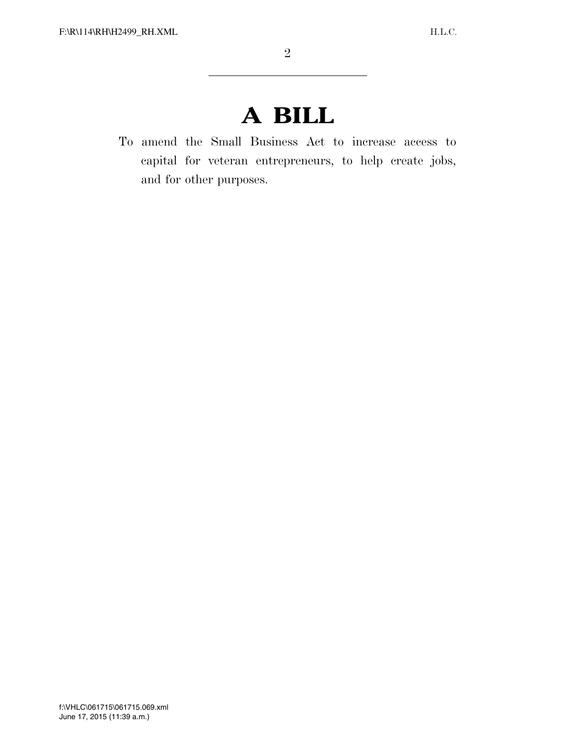## **A BILL**

To amend the Small Business Act to increase access to capital for veteran entrepreneurs, to help create jobs, and for other purposes.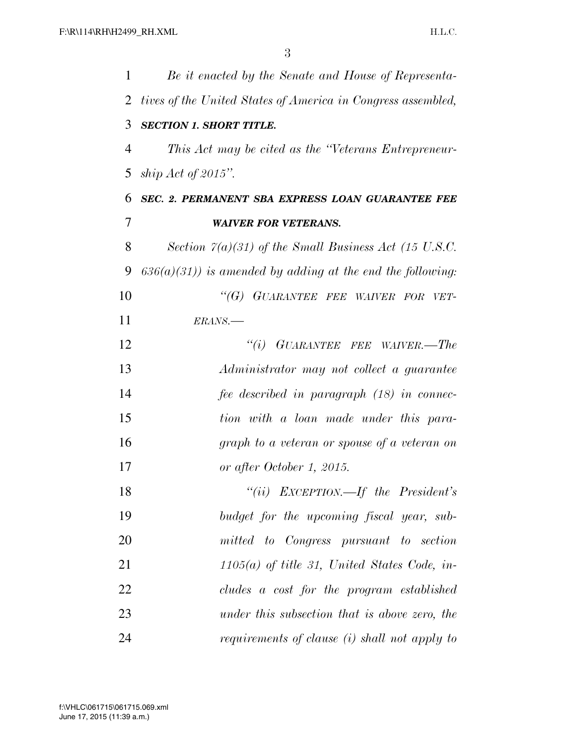| 1              | Be it enacted by the Senate and House of Representa-          |
|----------------|---------------------------------------------------------------|
| 2              | tives of the United States of America in Congress assembled,  |
| 3              | <b>SECTION 1. SHORT TITLE.</b>                                |
| $\overline{4}$ | This Act may be cited as the "Veterans Entrepreneur-          |
| 5              | ship Act of 2015".                                            |
| 6              | SEC. 2. PERMANENT SBA EXPRESS LOAN GUARANTEE FEE              |
| $\overline{7}$ | <b>WAIVER FOR VETERANS.</b>                                   |
| 8              | Section $\Gamma(a)(31)$ of the Small Business Act (15 U.S.C.  |
| 9              | $636(a)(31)$ ) is amended by adding at the end the following: |
| 10             | "(G) GUARANTEE FEE WAIVER FOR VET-                            |
| 11             | ERANS.-                                                       |
| 12             | $``(i)$ GUARANTEE FEE WAIVER.—The                             |
| 13             | Administrator may not collect a guarantee                     |
| 14             | fee described in paragraph (18) in connec-                    |
| 15             | tion with a loan made under this para-                        |
| 16             | graph to a veteran or spouse of a veteran on                  |
| 17             | or after October 1, 2015.                                     |
| 18             | "(ii) EXCEPTION.—If the President's                           |
| 19             | budget for the upcoming fiscal year, sub-                     |
| 20             | mitted to Congress pursuant to section                        |
| 21             | $1105(a)$ of title 31, United States Code, in-                |
| 22             | cludes a cost for the program established                     |
| 23             | under this subsection that is above zero, the                 |
| 24             | requirements of clause (i) shall not apply to                 |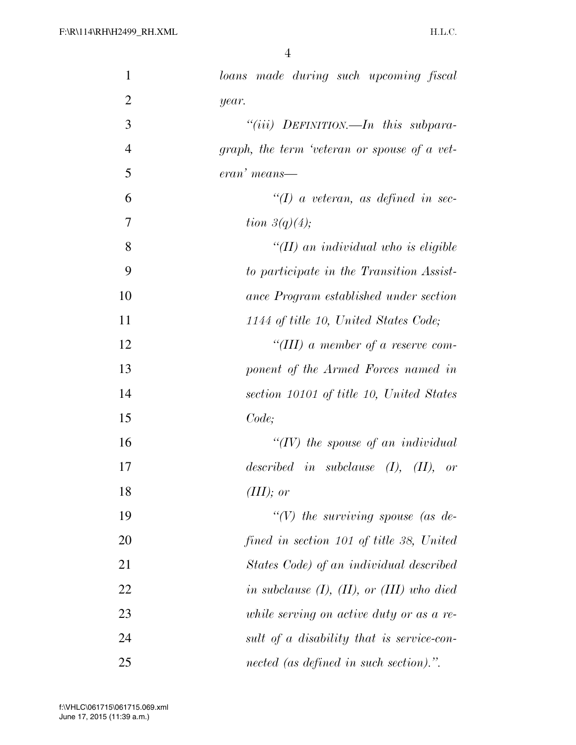| $\mathbf{1}$   | loans made during such upcoming fiscal            |
|----------------|---------------------------------------------------|
| $\overline{2}$ | year.                                             |
| 3              | "(iii) DEFINITION.—In this subpara-               |
| $\overline{4}$ | graph, the term 'veteran or spouse of a vet-      |
| $\mathfrak{S}$ | eran' means—                                      |
| 6              | $\lq (I)$ a veteran, as defined in sec-           |
| 7              | tion $3(q)(4)$ ;                                  |
| 8              | $H(H)$ an individual who is eligible              |
| 9              | to participate in the Transition Assist-          |
| 10             | ance Program established under section            |
| 11             | 1144 of title 10, United States Code;             |
| 12             | "(III) a member of a reserve com-                 |
| 13             | ponent of the Armed Forces named in               |
| 14             | section 10101 of title 10, United States          |
| 15             | Code;                                             |
| 16             | "(IV) the spouse of an individual                 |
| 17             | described in subclause $(I)$ , $(II)$ , or        |
| 18             | (III); or                                         |
| 19             | "(V) the surviving spouse (as de-                 |
| 20             | fined in section 101 of title 38, United          |
| 21             | States Code) of an individual described           |
| 22             | in subclause $(I)$ , $(II)$ , or $(III)$ who died |
| 23             | while serving on active duty or as a re-          |
| 24             | sult of a disability that is service-con-         |
| 25             | nected (as defined in such section).".            |